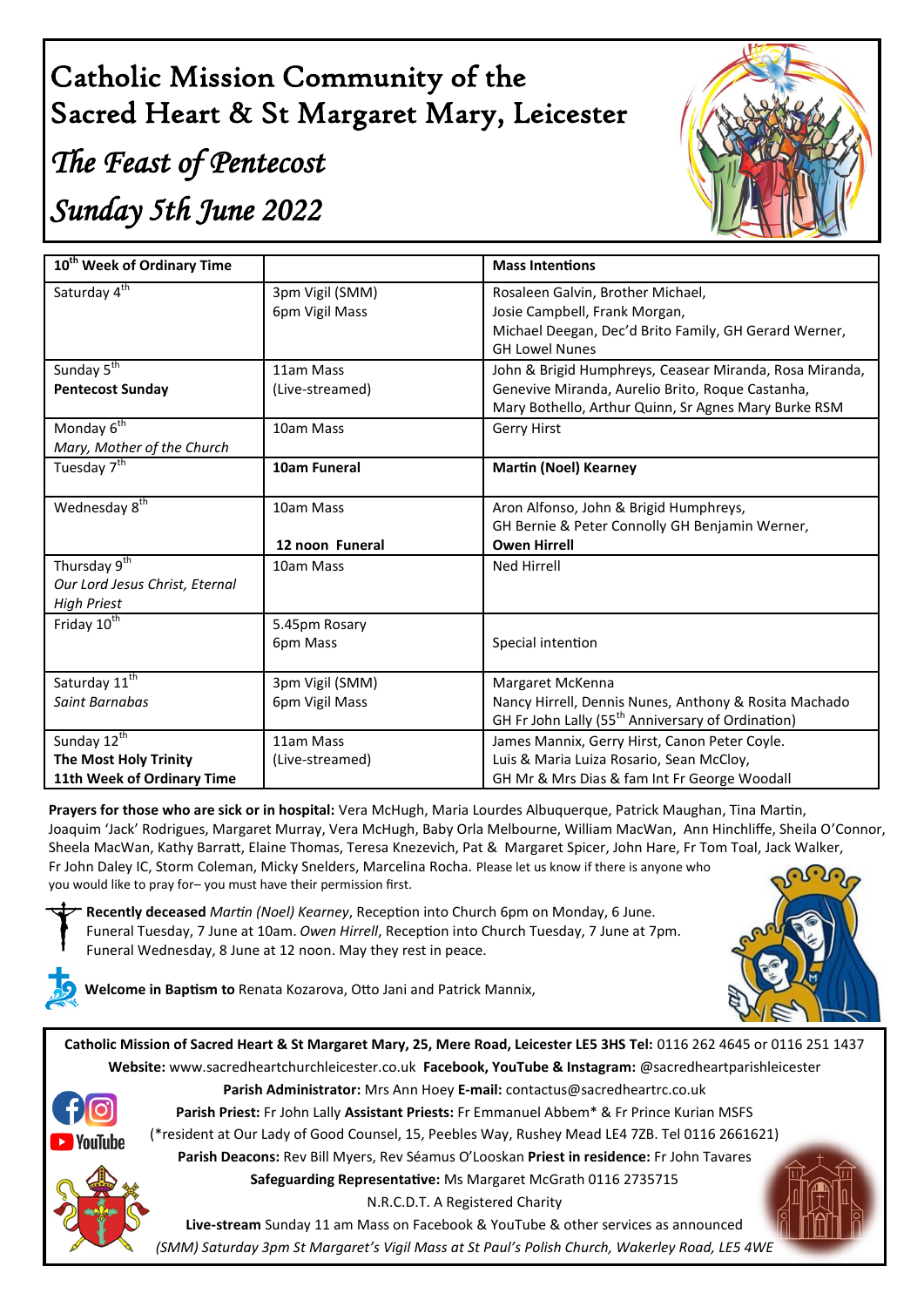## Catholic Mission Community of the Sacred Heart & St Margaret Mary, Leicester

# *The Feast of Pentecost Sunday 5th June 2022*



| 10 <sup>th</sup> Week of Ordinary Time |                                   | <b>Mass Intentions</b>                                                         |
|----------------------------------------|-----------------------------------|--------------------------------------------------------------------------------|
| Saturday 4 <sup>th</sup>               | 3pm Vigil (SMM)<br>6pm Vigil Mass | Rosaleen Galvin, Brother Michael,<br>Josie Campbell, Frank Morgan,             |
|                                        |                                   | Michael Deegan, Dec'd Brito Family, GH Gerard Werner,<br><b>GH Lowel Nunes</b> |
| Sunday 5 <sup>th</sup>                 | 11am Mass                         | John & Brigid Humphreys, Ceasear Miranda, Rosa Miranda,                        |
| <b>Pentecost Sunday</b>                | (Live-streamed)                   | Genevive Miranda, Aurelio Brito, Roque Castanha,                               |
|                                        |                                   | Mary Bothello, Arthur Quinn, Sr Agnes Mary Burke RSM                           |
| Monday 6 <sup>th</sup>                 | 10am Mass                         | Gerry Hirst                                                                    |
| Mary, Mother of the Church             |                                   |                                                                                |
| Tuesday 7 <sup>th</sup>                | 10am Funeral                      | <b>Martin (Noel) Kearney</b>                                                   |
| Wednesday 8 <sup>th</sup>              | 10am Mass                         | Aron Alfonso, John & Brigid Humphreys,                                         |
|                                        |                                   | GH Bernie & Peter Connolly GH Benjamin Werner,                                 |
|                                        | 12 noon Funeral                   | <b>Owen Hirrell</b>                                                            |
| Thursday 9 <sup>th</sup>               | 10am Mass                         | <b>Ned Hirrell</b>                                                             |
| Our Lord Jesus Christ, Eternal         |                                   |                                                                                |
| <b>High Priest</b>                     |                                   |                                                                                |
| Friday 10 <sup>th</sup>                | 5.45pm Rosary                     |                                                                                |
|                                        | 6pm Mass                          | Special intention                                                              |
|                                        |                                   |                                                                                |
| Saturday 11 <sup>th</sup>              | 3pm Vigil (SMM)                   | Margaret McKenna                                                               |
| Saint Barnabas                         | 6pm Vigil Mass                    | Nancy Hirrell, Dennis Nunes, Anthony & Rosita Machado                          |
|                                        |                                   | GH Fr John Lally (55 <sup>th</sup> Anniversary of Ordination)                  |
| Sunday 12 <sup>th</sup>                | 11am Mass                         | James Mannix, Gerry Hirst, Canon Peter Coyle.                                  |
| The Most Holy Trinity                  | (Live-streamed)                   | Luis & Maria Luiza Rosario, Sean McCloy,                                       |
| 11th Week of Ordinary Time             |                                   | GH Mr & Mrs Dias & fam Int Fr George Woodall                                   |

**Prayers for those who are sick or in hospital:** Vera McHugh, Maria Lourdes Albuquerque, Patrick Maughan, Tina Martin, Joaquim 'Jack' Rodrigues, Margaret Murray, Vera McHugh, Baby Orla Melbourne, William MacWan, Ann Hinchliffe, Sheila O'Connor, Sheela MacWan, Kathy Barratt, Elaine Thomas, Teresa Knezevich, Pat & Margaret Spicer, John Hare, Fr Tom Toal, Jack Walker, Fr John Daley IC, Storm Coleman, Micky Snelders, Marcelina Rocha. Please let us know if there is anyone who you would like to pray for– you must have their permission first.



**Recently deceased** *Martin (Noel) Kearney*, Reception into Church 6pm on Monday, 6 June. Funeral Tuesday, 7 June at 10am. *Owen Hirrell*, Reception into Church Tuesday, 7 June at 7pm. Funeral Wednesday, 8 June at 12 noon. May they rest in peace.



**Welcome in Baptism to** Renata Kozarova, Otto Jani and Patrick Mannix,

**Catholic Mission of Sacred Heart & St Margaret Mary, 25, Mere Road, Leicester LE5 3HS Tel:** 0116 262 4645 or 0116 251 1437 **Website:** www.sacredheartchurchleicester.co.uk **Facebook, YouTube & Instagram:** @sacredheartparishleicester



**Parish Administrator:** Mrs Ann Hoey **E-mail:** contactus@sacredheartrc.co.uk **Parish Priest:** Fr John Lally **Assistant Priests:** Fr Emmanuel Abbem\* & Fr Prince Kurian MSFS (\*resident at Our Lady of Good Counsel, 15, Peebles Way, Rushey Mead LE4 7ZB. Tel 0116 2661621)

**Parish Deacons:** Rev Bill Myers, Rev Séamus O'Looskan **Priest in residence:** Fr John Tavares **Safeguarding Representative:** Ms Margaret McGrath 0116 2735715

N.R.C.D.T. A Registered Charity

**Live-stream** Sunday 11 am Mass on Facebook & YouTube & other services as announced *(SMM) Saturday 3pm St Margaret's Vigil Mass at St Paul's Polish Church, Wakerley Road, LE5 4WE*